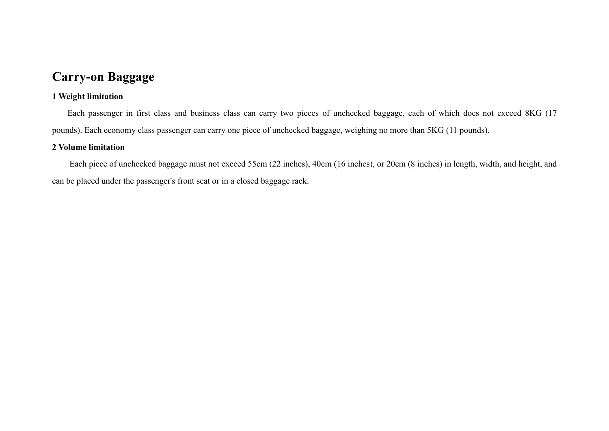# **Carry-on Baggage**

## **1 Weight limitation**

Each passenger in first class and business class can carry two pieces of unchecked baggage, each of which does not exceed 8KG (17 pounds). Each economy class passenger can carry one piece of unchecked baggage, weighing no more than 5KG (11 pounds).

## **2 Volume limitation**

Each piece of unchecked baggage must not exceed 55cm (22 inches), 40cm (16 inches), or 20cm (8 inches) in length, width, and height, and can be placed under the passenger's front seat or in a closed baggage rack.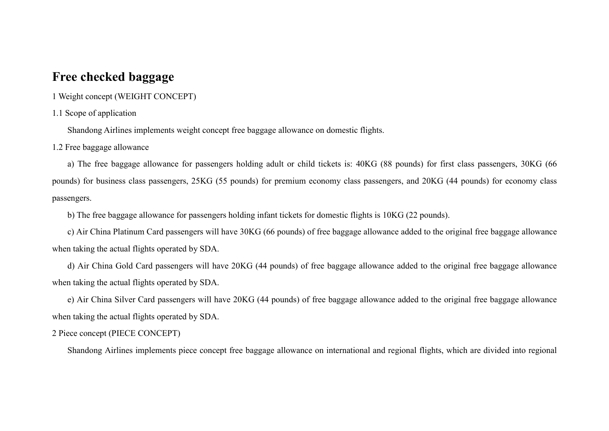# **Free checked baggage**

1 Weight concept (WEIGHT CONCEPT)

#### 1.1 Scope of application

Shandong Airlines implements weight concept free baggage allowance on domestic flights.

1.2 Free baggage allowance

a) The free baggage allowance for passengers holding adult or child tickets is: 40KG (88 pounds) for first class passengers, 30KG (66 pounds) for business class passengers, 25KG (55 pounds) for premium economy class passengers, and 20KG (44 pounds) for economy class passengers.

b) The free baggage allowance for passengers holding infant tickets for domestic flights is 10KG (22 pounds).

c) Air China Platinum Card passengers will have 30KG (66 pounds) of free baggage allowance added to the original free baggage allowance when taking the actual flights operated by SDA.

d) Air China Gold Card passengers will have 20KG (44 pounds) of free baggage allowance added to the original free baggage allowance when taking the actual flights operated by SDA.

e) Air China Silver Card passengers will have 20KG (44 pounds) of free baggage allowance added to the original free baggage allowance when taking the actual flights operated by SDA.

2 Piece concept (PIECE CONCEPT)

Shandong Airlines implements piece concept free baggage allowance on international and regional flights, which are divided into regional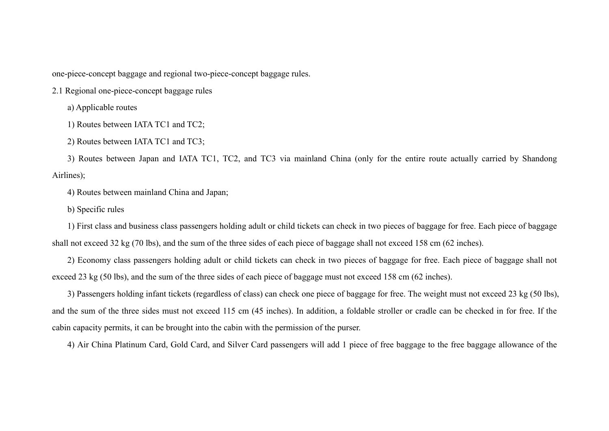one-piece-concept baggage and regional two-piece-concept baggage rules.

2.1 Regional one-piece-concept baggage rules

a) Applicable routes

1) Routes between IATA TC1 and TC2;

2) Routes between IATA TC1 and TC3;

3) Routes between Japan and IATA TC1, TC2, and TC3 via mainland China (only for the entire route actually carried by Shandong Airlines);

4) Routes between mainland China and Japan;

b) Specific rules

1) First class and business class passengers holding adult or child tickets can check in two pieces of baggage for free. Each piece of baggage shall not exceed 32 kg (70 lbs), and the sum of the three sides of each piece of baggage shall not exceed 158 cm (62 inches).

2) Economy class passengers holding adult or child tickets can check in two pieces of baggage for free. Each piece of baggage shall not exceed 23 kg (50 lbs), and the sum of the three sides of each piece of baggage must not exceed 158 cm (62 inches).

3) Passengers holding infant tickets (regardless of class) can check one piece of baggage for free. The weight must not exceed 23 kg (50 lbs), and the sum of the three sides must not exceed 115 cm (45 inches). In addition, a foldable stroller or cradle can be checked in for free. If the cabin capacity permits, it can be brought into the cabin with the permission of the purser.

4) Air China Platinum Card, Gold Card, and Silver Card passengers will add 1 piece of free baggage to the free baggage allowance of the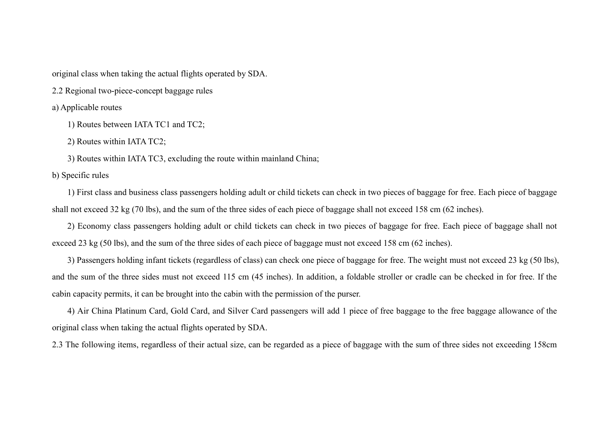original class when taking the actual flights operated by SDA.

2.2 Regional two-piece-concept baggage rules

a) Applicable routes

1) Routes between IATA TC1 and TC2;

2) Routes within IATA TC2;

3) Routes within IATA TC3, excluding the route within mainland China;

b) Specific rules

1) First class and business class passengers holding adult or child tickets can check in two pieces of baggage for free. Each piece of baggage shall not exceed 32 kg (70 lbs), and the sum of the three sides of each piece of baggage shall not exceed 158 cm (62 inches).

2) Economy class passengers holding adult or child tickets can check in two pieces of baggage for free. Each piece of baggage shall not exceed 23 kg (50 lbs), and the sum of the three sides of each piece of baggage must not exceed 158 cm (62 inches).

3) Passengers holding infant tickets (regardless of class) can check one piece of baggage for free. The weight must not exceed 23 kg (50 lbs), and the sum of the three sides must not exceed 115 cm (45 inches). In addition, a foldable stroller or cradle can be checked in for free. If the cabin capacity permits, it can be brought into the cabin with the permission of the purser.

4) Air China Platinum Card, Gold Card, and Silver Card passengers will add 1 piece of free baggage to the free baggage allowance of the original class when taking the actual flights operated by SDA.

2.3 The following items, regardless of their actual size, can be regarded as a piece of baggage with the sum of three sides not exceeding 158cm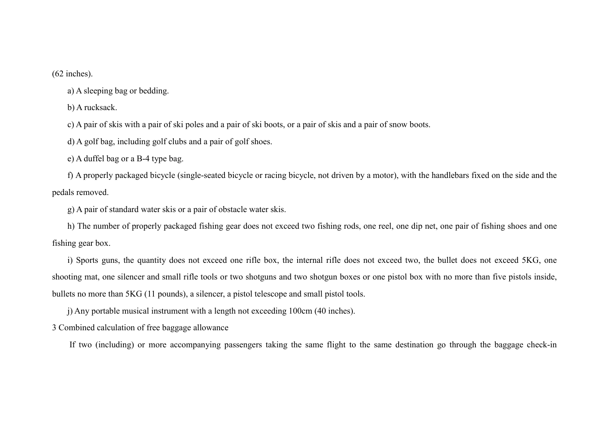(62 inches).

a) A sleeping bag or bedding.

b) A rucksack.

c) A pair of skis with a pair of ski poles and a pair of ski boots, or a pair of skis and a pair of snow boots.

d) A golf bag, including golf clubs and a pair of golf shoes.

e) A duffel bag or a B-4 type bag.

f) A properly packaged bicycle (single-seated bicycle or racing bicycle, not driven by a motor), with the handlebars fixed on the side and the pedals removed.

g) A pair of standard water skis or a pair of obstacle water skis.

h) The number of properly packaged fishing gear does not exceed two fishing rods, one reel, one dip net, one pair of fishing shoes and one fishing gear box.

i) Sports guns, the quantity does not exceed one rifle box, the internal rifle does not exceed two, the bullet does not exceed 5KG, one shooting mat, one silencer and small rifle tools or two shotguns and two shotgun boxes or one pistol box with no more than five pistols inside, bullets no more than 5KG (11 pounds), a silencer, a pistol telescope and small pistol tools.

j) Any portable musical instrument with a length not exceeding 100cm (40 inches).

3 Combined calculation of free baggage allowance

If two (including) or more accompanying passengers taking the same flight to the same destination go through the baggage check-in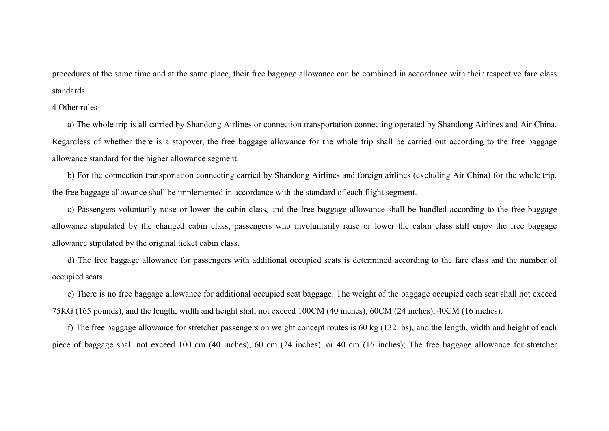procedures at the same time and at the same place, their free baggage allowance can be combined in accordance with their respective fare class standards.

#### 4 Other rules

a) The whole trip is all carried by Shandong Airlines or connection transportation connecting operated by Shandong Airlines and Air China. Regardless of whether there is a stopover, the free baggage allowance for the whole trip shall be carried out according to the free baggage allowance standard for the higher allowance segment.

b) For the connection transportation connecting carried by Shandong Airlines and foreign airlines (excluding Air China) for the whole trip, the free baggage allowance shall be implemented in accordance with the standard of each flight segment.

c) Passengers voluntarily raise or lower the cabin class, and the free baggage allowance shall be handled according to the free baggage allowance stipulated by the changed cabin class; passengers who involuntarily raise or lower the cabin class still enjoy the free baggage allowance stipulated by the original ticket cabin class.

d) The free baggage allowance for passengers with additional occupied seats is determined according to the fare class and the number of occupied seats.

e) There is no free baggage allowance for additional occupied seat baggage. The weight of the baggage occupied each seat shall not exceed 75KG (165 pounds), and the length, width and height shall not exceed 100CM (40 inches), 60CM (24 inches), 40CM (16 inches).

f) The free baggage allowance for stretcher passengers on weight concept routes is 60 kg (132 lbs), and the length, width and height of each piece of baggage shall not exceed 100 cm (40 inches), 60 cm (24 inches), or 40 cm (16 inches); The free baggage allowance for stretcher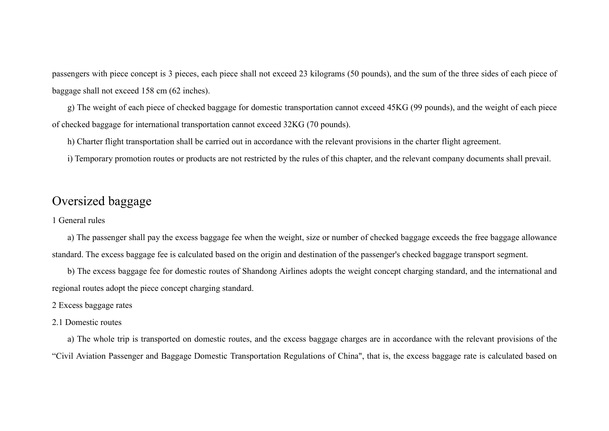passengers with piece concept is 3 pieces, each piece shall not exceed 23 kilograms (50 pounds), and the sum of the three sides of each piece of baggage shall not exceed 158 cm (62 inches).

g) The weight of each piece of checked baggage for domestic transportation cannot exceed 45KG (99 pounds), and the weight of each piece of checked baggage for international transportation cannot exceed 32KG (70 pounds).

h) Charter flight transportation shall be carried out in accordance with the relevant provisions in the charter flight agreement.

i) Temporary promotion routes or products are not restricted by the rules of this chapter, and the relevant company documents shall prevail.

# Oversized baggage

#### 1 General rules

a) The passenger shall pay the excess baggage fee when the weight, size or number of checked baggage exceeds the free baggage allowance standard. The excess baggage fee is calculated based on the origin and destination of the passenger's checked baggage transport segment.

b) The excess baggage fee for domestic routes of Shandong Airlines adopts the weight concept charging standard, and the international and regional routes adopt the piece concept charging standard.

2 Excess baggage rates

2.1 Domestic routes

a) The whole trip is transported on domestic routes, and the excess baggage charges are in accordance with the relevant provisions of the "Civil Aviation Passenger and Baggage Domestic Transportation Regulations of China", that is, the excess baggage rate is calculated based on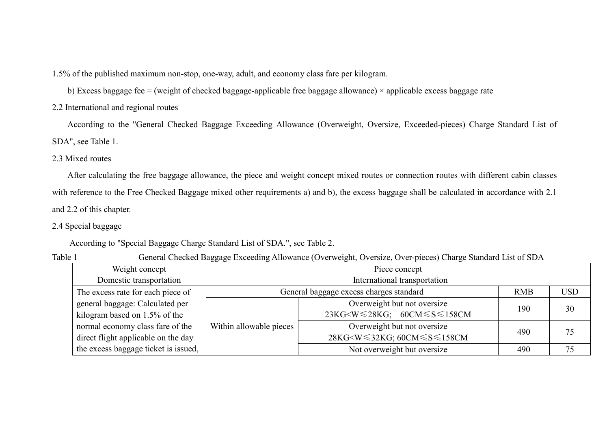1.5% of the published maximum non-stop, one-way, adult, and economy class fare per kilogram.

b) Excess baggage fee = (weight of checked baggage-applicable free baggage allowance)  $\times$  applicable excess baggage rate

2.2 International and regional routes

According to the "General Checked Baggage Exceeding Allowance (Overweight, Oversize, Exceeded-pieces) Charge Standard List of SDA", see Table 1.

2.3 Mixed routes

After calculating the free baggage allowance, the piece and weight concept mixed routes or connection routes with different cabin classes with reference to the Free Checked Baggage mixed other requirements a) and b), the excess baggage shall be calculated in accordance with 2.1 and 2.2 of this chapter.

## 2.4 Special baggage

According to "Special Baggage Charge Standard List of SDA.", see Table 2.

| п<br>J.<br>., |  |
|---------------|--|
|---------------|--|

General Checked Baggage Exceeding Allowance (Overweight, Oversize, Over-pieces) Charge Standard List of SDA

|                                      | ັບ                                      |                                                                        |            |    |  |  |  |
|--------------------------------------|-----------------------------------------|------------------------------------------------------------------------|------------|----|--|--|--|
| Weight concept                       |                                         |                                                                        |            |    |  |  |  |
| Domestic transportation              | International transportation            |                                                                        |            |    |  |  |  |
| The excess rate for each piece of    | General baggage excess charges standard | <b>RMB</b>                                                             | <b>USD</b> |    |  |  |  |
| general baggage: Calculated per      | Overweight but not oversize             |                                                                        |            | 30 |  |  |  |
| kilogram based on 1.5% of the        |                                         | $23KG\leq W \leq 28KG$ ; $60CM \leq S \leq 158CM$                      | 190        |    |  |  |  |
| normal economy class fare of the     | Within allowable pieces                 | Overweight but not oversize                                            |            |    |  |  |  |
| direct flight applicable on the day  |                                         | 28KG <w≤32kg; 60cm≤s≤158cm<="" td=""><td>490</td><td>75</td></w≤32kg;> | 490        | 75 |  |  |  |
| the excess baggage ticket is issued, |                                         | Not overweight but oversize                                            | 490        | 75 |  |  |  |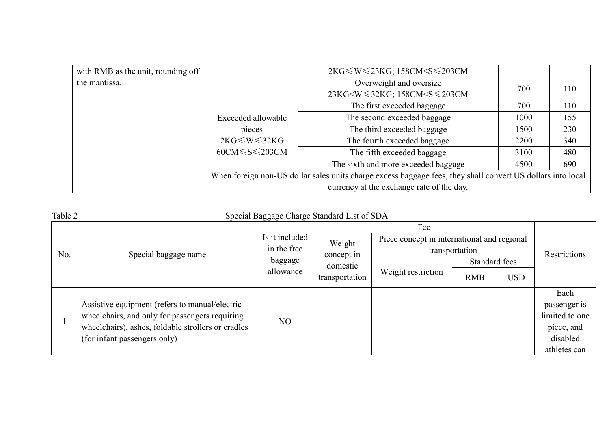| with RMB as the unit, rounding off |                                                                                                             | 2KG ≤ W ≤ 23KG; 158CM < S ≤ 203CM                                  |      |     |  |  |  |
|------------------------------------|-------------------------------------------------------------------------------------------------------------|--------------------------------------------------------------------|------|-----|--|--|--|
| the mantissa.                      |                                                                                                             | Overweight and oversize                                            | 700  | 110 |  |  |  |
|                                    |                                                                                                             | 23KG <w≤32kg; 158cm<s≤203cm<="" td=""><td></td><td></td></w≤32kg;> |      |     |  |  |  |
|                                    |                                                                                                             | The first exceeded baggage                                         | 700  | 110 |  |  |  |
|                                    | Exceeded allowable<br>pieces<br>$2KG \leq W \leq 32KG$<br>$60CM \leq S \leq 203CM$                          | The second exceeded baggage                                        | 1000 | 155 |  |  |  |
|                                    |                                                                                                             | The third exceeded baggage                                         | 1500 | 230 |  |  |  |
|                                    |                                                                                                             | The fourth exceeded baggage                                        | 2200 | 340 |  |  |  |
|                                    |                                                                                                             | The fifth exceeded baggage                                         | 3100 | 480 |  |  |  |
|                                    |                                                                                                             | The sixth and more exceeded baggage                                | 4500 | 690 |  |  |  |
|                                    | When foreign non-US dollar sales units charge excess baggage fees, they shall convert US dollars into local |                                                                    |      |     |  |  |  |
|                                    | currency at the exchange rate of the day.                                                                   |                                                                    |      |     |  |  |  |

| Table 2 | Special Baggage Charge Standard List of SDA                                                                                          |                               |                                         |                                                               |               |            |                                          |
|---------|--------------------------------------------------------------------------------------------------------------------------------------|-------------------------------|-----------------------------------------|---------------------------------------------------------------|---------------|------------|------------------------------------------|
|         | Special baggage name                                                                                                                 | Is it included<br>in the free |                                         |                                                               |               |            |                                          |
| No.     |                                                                                                                                      |                               | Weight<br>concept in                    | Piece concept in international and regional<br>transportation |               |            | Restrictions                             |
|         |                                                                                                                                      | baggage                       | domestic<br>allowance<br>transportation |                                                               | Standard fees |            |                                          |
|         |                                                                                                                                      |                               |                                         | Weight restriction                                            | <b>RMB</b>    | <b>USD</b> |                                          |
|         | Assistive equipment (refers to manual/electric                                                                                       |                               |                                         |                                                               |               |            | Each<br>passenger is                     |
|         | wheelchairs, and only for passengers requiring<br>wheelchairs), ashes, foldable strollers or cradles<br>(for infant passengers only) | NO                            |                                         |                                                               |               |            | limited to one<br>piece, and<br>disabled |
|         |                                                                                                                                      |                               |                                         |                                                               |               |            | athletes can                             |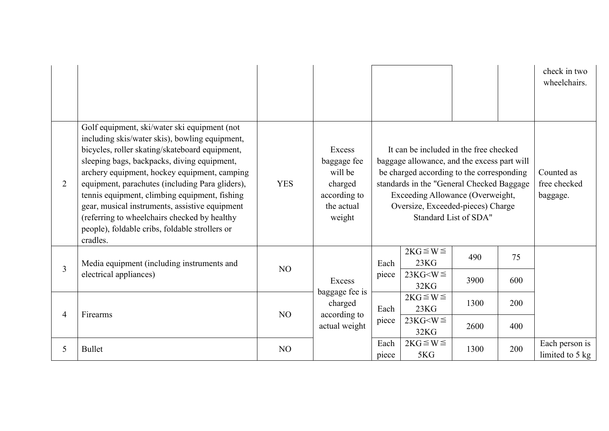|                |                                                                                                                                                                                                                                                                                                                                                                                                                                                                                                                     |                |                                                                                     |               |                                                                                                                                                                                                                                                          |                       |     | check in two<br>wheelchairs.           |
|----------------|---------------------------------------------------------------------------------------------------------------------------------------------------------------------------------------------------------------------------------------------------------------------------------------------------------------------------------------------------------------------------------------------------------------------------------------------------------------------------------------------------------------------|----------------|-------------------------------------------------------------------------------------|---------------|----------------------------------------------------------------------------------------------------------------------------------------------------------------------------------------------------------------------------------------------------------|-----------------------|-----|----------------------------------------|
| 2              | Golf equipment, ski/water ski equipment (not<br>including skis/water skis), bowling equipment,<br>bicycles, roller skating/skateboard equipment,<br>sleeping bags, backpacks, diving equipment,<br>archery equipment, hockey equipment, camping<br>equipment, parachutes (including Para gliders),<br>tennis equipment, climbing equipment, fishing<br>gear, musical instruments, assistive equipment<br>(referring to wheelchairs checked by healthy<br>people), foldable cribs, foldable strollers or<br>cradles. | <b>YES</b>     | Excess<br>baggage fee<br>will be<br>charged<br>according to<br>the actual<br>weight |               | It can be included in the free checked<br>baggage allowance, and the excess part will<br>be charged according to the corresponding<br>standards in the "General Checked Baggage<br>Exceeding Allowance (Overweight,<br>Oversize, Exceeded-pieces) Charge | Standard List of SDA" |     | Counted as<br>free checked<br>baggage. |
| $\overline{3}$ | Media equipment (including instruments and                                                                                                                                                                                                                                                                                                                                                                                                                                                                          | N <sub>O</sub> |                                                                                     | Each          | $2KG \leq W \leq$<br>23KG                                                                                                                                                                                                                                | 490                   | 75  |                                        |
|                | electrical appliances)                                                                                                                                                                                                                                                                                                                                                                                                                                                                                              |                | Excess                                                                              | piece         | $23KG\leq W \leq$<br>32KG                                                                                                                                                                                                                                | 3900                  | 600 |                                        |
|                | Firearms                                                                                                                                                                                                                                                                                                                                                                                                                                                                                                            | N <sub>O</sub> | baggage fee is<br>charged                                                           | Each          | $2KG \leq W \leq$<br>23KG                                                                                                                                                                                                                                | 1300                  | 200 |                                        |
| $\overline{4}$ |                                                                                                                                                                                                                                                                                                                                                                                                                                                                                                                     |                | according to<br>actual weight                                                       | piece         | $23KG\leq W \leq$<br>32KG                                                                                                                                                                                                                                | 2600                  | 400 |                                        |
| 5              | <b>Bullet</b>                                                                                                                                                                                                                                                                                                                                                                                                                                                                                                       | N <sub>O</sub> |                                                                                     | Each<br>piece | $2KG \leq W \leq$<br>5KG                                                                                                                                                                                                                                 | 1300                  | 200 | Each person is<br>limited to 5 kg      |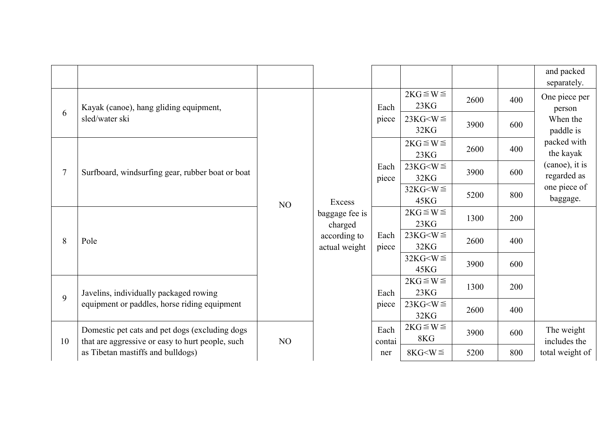|                |                                                                                                    |    |                               |                |                           |      |     | and packed<br>separately.                                                                                                                 |                           |      |     |  |
|----------------|----------------------------------------------------------------------------------------------------|----|-------------------------------|----------------|---------------------------|------|-----|-------------------------------------------------------------------------------------------------------------------------------------------|---------------------------|------|-----|--|
|                | Kayak (canoe), hang gliding equipment,<br>sled/water ski                                           |    |                               | Each           | $2KG \leq W \leq$<br>23KG | 2600 | 400 | One piece per<br>person<br>When the<br>paddle is<br>packed with<br>the kayak<br>(canoe), it is<br>regarded as<br>one piece of<br>baggage. |                           |      |     |  |
| 6              |                                                                                                    |    |                               | piece          | $23KG< W \leq$<br>32KG    | 3900 | 600 |                                                                                                                                           |                           |      |     |  |
|                |                                                                                                    |    |                               |                | $2KG \leq W \leq$<br>23KG | 2600 | 400 |                                                                                                                                           |                           |      |     |  |
| $\overline{7}$ | Surfboard, windsurfing gear, rubber boat or boat                                                   |    | Excess                        | Each<br>piece  | $23KG< W \leq$<br>32KG    | 3900 | 600 |                                                                                                                                           |                           |      |     |  |
|                |                                                                                                    | NO |                               |                | $32KG< W \leq$<br>45KG    | 5200 | 800 |                                                                                                                                           |                           |      |     |  |
|                |                                                                                                    |    | baggage fee is<br>charged     |                | $2KG \leq W \leq$<br>23KG | 1300 | 200 |                                                                                                                                           |                           |      |     |  |
| 8              | Pole                                                                                               |    | according to<br>actual weight | Each<br>piece  | $23KG< W \leq$<br>32KG    | 2600 | 400 |                                                                                                                                           |                           |      |     |  |
|                |                                                                                                    |    |                               |                | $32KG< W \leq$<br>45KG    | 3900 | 600 |                                                                                                                                           |                           |      |     |  |
| 9              | Javelins, individually packaged rowing                                                             |    |                               |                |                           |      |     | Each                                                                                                                                      | $2KG \leq W \leq$<br>23KG | 1300 | 200 |  |
|                | equipment or paddles, horse riding equipment                                                       |    |                               | piece          | $23KG< W \leq$<br>32KG    | 2600 | 400 |                                                                                                                                           |                           |      |     |  |
| 10             | Domestic pet cats and pet dogs (excluding dogs<br>that are aggressive or easy to hurt people, such | NO |                               | Each<br>contai | $2KG \leq W \leq$<br>8KG  | 3900 | 600 | The weight<br>includes the                                                                                                                |                           |      |     |  |
|                | as Tibetan mastiffs and bulldogs)                                                                  |    |                               | ner            | $8KG< W \leq$             | 5200 | 800 | total weight of                                                                                                                           |                           |      |     |  |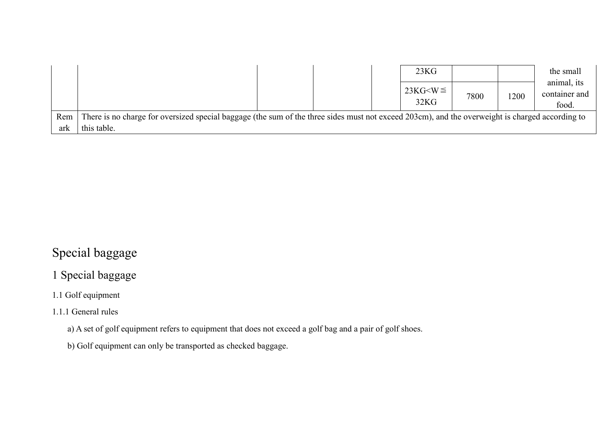|     |                                                                                                                                                 |  | 23KG |                           |      | the small |                                       |
|-----|-------------------------------------------------------------------------------------------------------------------------------------------------|--|------|---------------------------|------|-----------|---------------------------------------|
|     |                                                                                                                                                 |  |      | $23KG\leq W \leq$<br>32KG | 7800 | 1200      | animal, its<br>container and<br>food. |
| Rem | There is no charge for oversized special baggage (the sum of the three sides must not exceed 203cm), and the overweight is charged according to |  |      |                           |      |           |                                       |
| ark | this table.                                                                                                                                     |  |      |                           |      |           |                                       |

# Special baggage

# 1 Special baggage

# 1.1 Golf equipment

# 1.1.1 General rules

a) A set of golf equipment refers to equipment that does not exceed a golf bag and a pair of golf shoes.

b) Golf equipment can only be transported as checked baggage.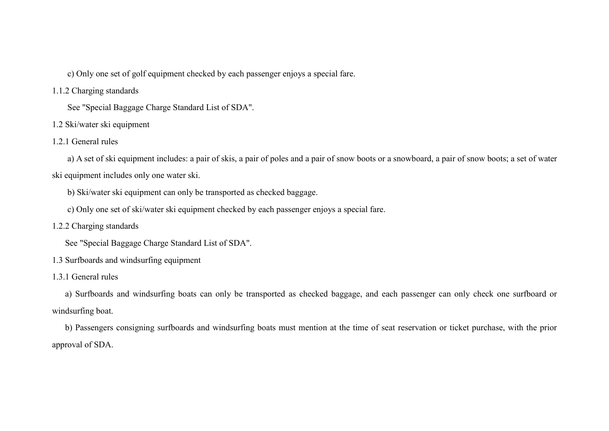c) Only one set of golf equipment checked by each passenger enjoys a special fare.

#### 1.1.2 Charging standards

See "Special Baggage Charge Standard List of SDA".

- 1.2 Ski/water ski equipment
- 1.2.1 General rules

a) A set of ski equipment includes: a pair of skis, a pair of poles and a pair of snow boots or a snowboard, a pair of snow boots; a set of water ski equipment includes only one water ski.

b) Ski/water ski equipment can only be transported as checked baggage.

- c) Only one set of ski/water ski equipment checked by each passenger enjoys a special fare.
- 1.2.2 Charging standards

See "Special Baggage Charge Standard List of SDA".

- 1.3 Surfboards and windsurfing equipment
- 1.3.1 General rules

a) Surfboards and windsurfing boats can only be transported as checked baggage, and each passenger can only check one surfboard or windsurfing boat.

b) Passengers consigning surfboards and windsurfing boats must mention at the time of seat reservation or ticket purchase, with the prior approval of SDA.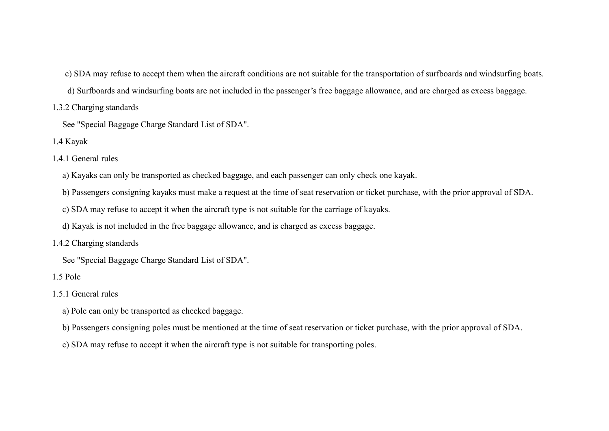- c) SDA may refuse to accept them when the aircraft conditions are not suitable for the transportation of surfboards and windsurfing boats.
- d) Surfboards and windsurfing boats are not included in the passenger's free baggage allowance, and are charged as excess baggage.
- 1.3.2 Charging standards
	- See "Special Baggage Charge Standard List of SDA".
- 1.4 Kayak
- 1.4.1 General rules
	- a) Kayaks can only be transported as checked baggage, and each passenger can only check one kayak.
	- b) Passengers consigning kayaks must make a request at the time of seat reservation or ticket purchase, with the prior approval of SDA.
	- c) SDA may refuse to accept it when the aircraft type is not suitable for the carriage of kayaks.
	- d) Kayak is not included in the free baggage allowance, and is charged as excess baggage.
- 1.4.2 Charging standards
	- See "Special Baggage Charge Standard List of SDA".
- 1.5 Pole
- 1.5.1 General rules
	- a) Pole can only be transported as checked baggage.
	- b) Passengers consigning poles must be mentioned at the time of seat reservation or ticket purchase, with the prior approval of SDA.
	- c) SDA may refuse to accept it when the aircraft type is not suitable for transporting poles.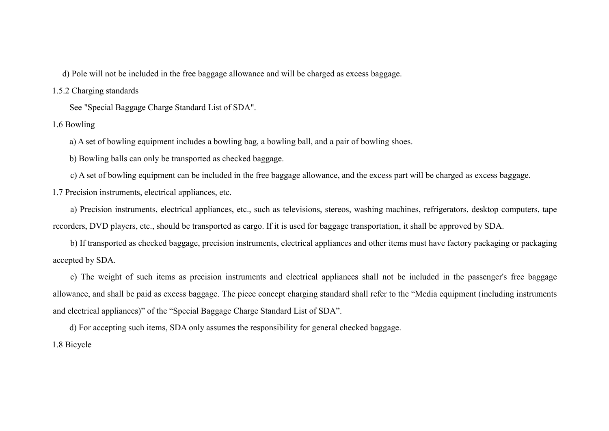d) Pole will not be included in the free baggage allowance and will be charged as excess baggage.

1.5.2 Charging standards

See "Special Baggage Charge Standard List of SDA".

1.6 Bowling

a) A set of bowling equipment includes a bowling bag, a bowling ball, and a pair of bowling shoes.

b) Bowling balls can only be transported as checked baggage.

c) A set of bowling equipment can be included in the free baggage allowance, and the excess part will be charged as excess baggage.

1.7 Precision instruments, electrical appliances, etc.

a) Precision instruments, electrical appliances, etc., such as televisions, stereos, washing machines, refrigerators, desktop computers, tape recorders, DVD players, etc., should be transported as cargo. If it is used for baggage transportation, it shall be approved by SDA.

b) If transported as checked baggage, precision instruments, electrical appliances and other items must have factory packaging or packaging accepted by SDA.

c) The weight of such items as precision instruments and electrical appliances shall not be included in the passenger's free baggage allowance, and shall be paid as excess baggage. The piece concept charging standard shall refer to the "Media equipment (including instruments and electrical appliances)" of the "Special Baggage Charge Standard List of SDA".

d) For accepting such items, SDA only assumes the responsibility for general checked baggage. 1.8 Bicycle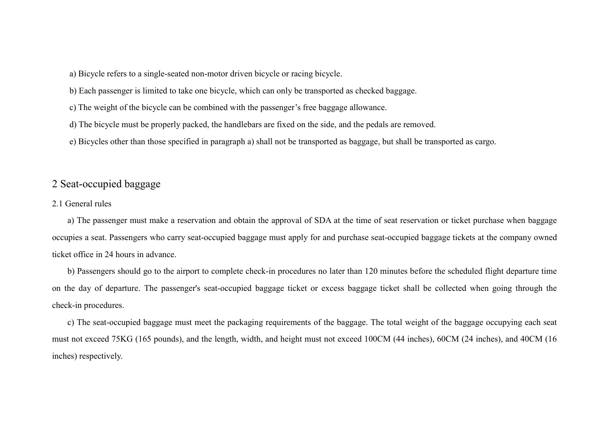a) Bicycle refers to a single-seated non-motor driven bicycle or racing bicycle.

b) Each passenger is limited to take one bicycle, which can only be transported as checked baggage.

c) The weight of the bicycle can be combined with the passenger's free baggage allowance.

d) The bicycle must be properly packed, the handlebars are fixed on the side, and the pedals are removed.

e) Bicycles other than those specified in paragraph a) shall not be transported as baggage, but shall be transported as cargo.

## 2 Seat-occupied baggage

#### 2.1 General rules

a) The passenger must make a reservation and obtain the approval of SDA at the time of seat reservation or ticket purchase when baggage occupies a seat. Passengers who carry seat-occupied baggage must apply for and purchase seat-occupied baggage tickets at the company owned ticket office in 24 hours in advance.

b) Passengers should go to the airport to complete check-in procedures no later than 120 minutes before the scheduled flight departure time on the day of departure. The passenger's seat-occupied baggage ticket or excess baggage ticket shall be collected when going through the check-in procedures.

c) The seat-occupied baggage must meet the packaging requirements of the baggage. The total weight of the baggage occupying each seat must not exceed 75KG (165 pounds), and the length, width, and height must not exceed 100CM (44 inches), 60CM (24 inches), and 40CM (16 inches) respectively.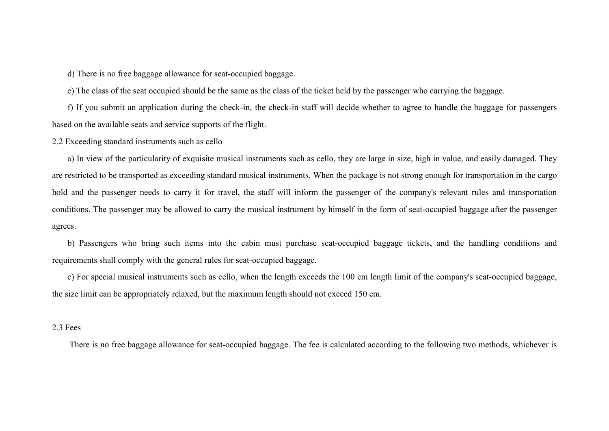d) There is no free baggage allowance for seat-occupied baggage.

e) The class of the seat occupied should be the same as the class of the ticket held by the passenger who carrying the baggage.

f) If you submit an application during the check-in, the check-in staff will decide whether to agree to handle the baggage for passengers based on the available seats and service supports of the flight.

#### 2.2 Exceeding standard instruments such as cello

a) In view of the particularity of exquisite musical instruments such as cello, they are large in size, high in value, and easily damaged. They are restricted to be transported as exceeding standard musical instruments. When the package is not strong enough for transportation in the cargo hold and the passenger needs to carry it for travel, the staff will inform the passenger of the company's relevant rules and transportation conditions. The passenger may be allowed to carry the musical instrument by himself in the form of seat-occupied baggage after the passenger agrees.

b) Passengers who bring such items into the cabin must purchase seat-occupied baggage tickets, and the handling conditions and requirements shall comply with the general rules for seat-occupied baggage.

c) For special musical instruments such as cello, when the length exceeds the 100 cm length limit of the company's seat-occupied baggage, the size limit can be appropriately relaxed, but the maximum length should not exceed 150 cm.

#### 2.3 Fees

There is no free baggage allowance for seat-occupied baggage. The fee is calculated according to the following two methods, whichever is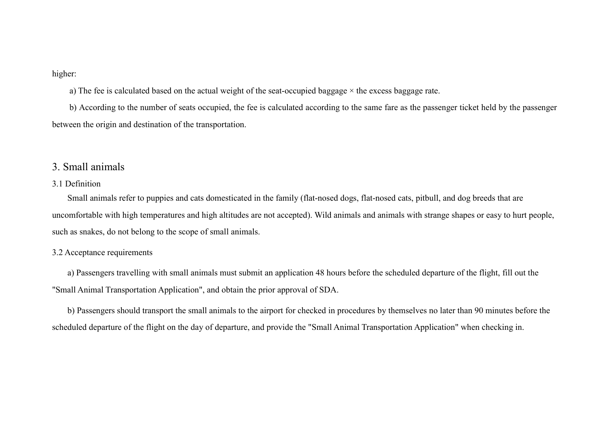higher:

a) The fee is calculated based on the actual weight of the seat-occupied baggage  $\times$  the excess baggage rate.

b) According to the number of seats occupied, the fee is calculated according to the same fare as the passenger ticket held by the passenger between the origin and destination of the transportation.

## 3. Small animals

## 3.1 Definition

Small animals refer to puppies and cats domesticated in the family (flat-nosed dogs, flat-nosed cats, pitbull, and dog breeds that are uncomfortable with high temperatures and high altitudes are not accepted). Wild animals and animals with strange shapes or easy to hurt people, such as snakes, do not belong to the scope of small animals.

#### 3.2 Acceptance requirements

a) Passengers travelling with small animals must submit an application 48 hours before the scheduled departure of the flight, fill out the "Small Animal Transportation Application", and obtain the prior approval of SDA.

b) Passengers should transport the small animals to the airport for checked in procedures by themselves no later than 90 minutes before the scheduled departure of the flight on the day of departure, and provide the "Small Animal Transportation Application" when checking in.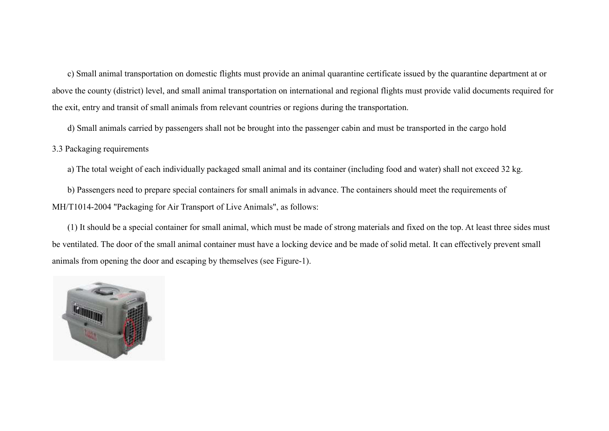c) Small animal transportation on domestic flights must provide an animal quarantine certificate issued by the quarantine department at or above the county (district) level, and small animal transportation on international and regional flights must provide valid documents required for the exit, entry and transit of small animals from relevant countries or regions during the transportation.

d) Small animals carried by passengers shall not be brought into the passenger cabin and must be transported in the cargo hold

3.3 Packaging requirements

a) The total weight of each individually packaged small animal and its container (including food and water) shall not exceed 32 kg.

b) Passengers need to prepare special containers for small animals in advance. The containers should meet the requirements of MH/T1014-2004 "Packaging for Air Transport of Live Animals", as follows:

(1) It should be a special container for small animal, which must be made of strong materials and fixed on the top. At least three sides must be ventilated. The door of the small animal container must have a locking device and be made of solid metal. It can effectively prevent small animals from opening the door and escaping by themselves (see Figure-1).

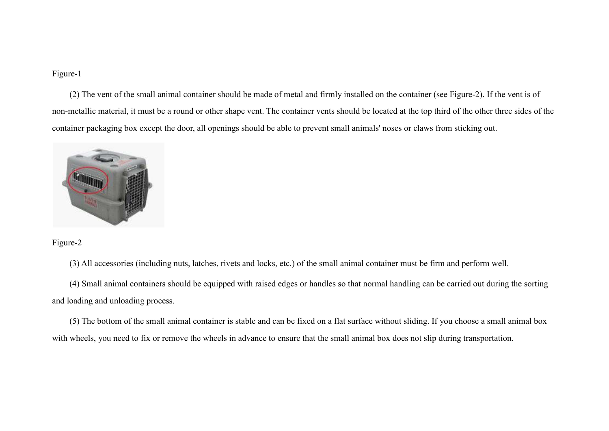### Figure-1

(2) The vent of the small animal container should be made of metal and firmly installed on the container (see Figure-2). If the vent is of non-metallic material, it must be a round or other shape vent. The container vents should be located at the top third of the other three sides of the container packaging box except the door, all openings should be able to prevent small animals' noses or claws from sticking out.



Figure-2

(3) All accessories (including nuts, latches, rivets and locks, etc.) of the small animal container must be firm and perform well.

(4) Small animal containers should be equipped with raised edges or handles so that normal handling can be carried out during the sorting and loading and unloading process.

(5) The bottom of the small animal container is stable and can be fixed on a flat surface without sliding. If you choose a small animal box with wheels, you need to fix or remove the wheels in advance to ensure that the small animal box does not slip during transportation.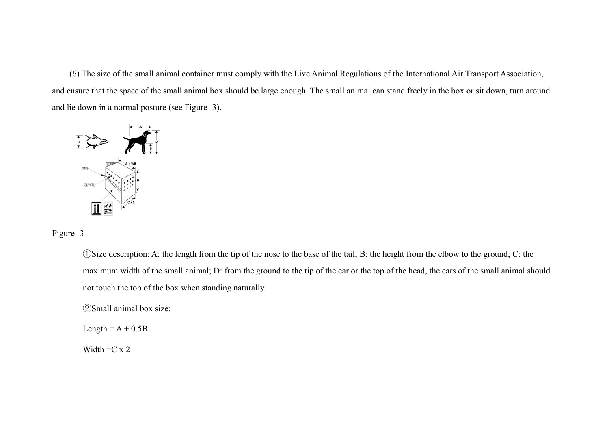(6) The size of the small animal container must comply with the Live Animal Regulations of the International Air Transport As and ensure that the space of the small animal box should be large enough. The small animal can stand freely in the box or sit down, turn around and lie down in a normal posture (see Figure- 3). and the size of the small animal container must comply with the Live Animal Regulations of the International Air Transport Association<br>that the space of the small animal box should be large enough. The small animal can sta



Figure- 3

( $\overline{a}$ )Size description: A: the length from the tip of the nose to the base of the tail; B: the height from the elbow to the ground; C: the (1)Size description: A: the length from the tip of the nose to the base of the tail; B: the height from the elbow to the ground; C: the<br>maximum width of the small animal; D: from the ground to the tip of the ear or the top not touch the top of the box when standing naturally. The size of the small animal container must comply with the Live Animal Regulations of the International Air Transport Association,<br>re that the space of the small animal box should be large enough. The small animal can st

②Small animal box size:

Length =  $A + 0.5B$ 

Width  $=C x 2$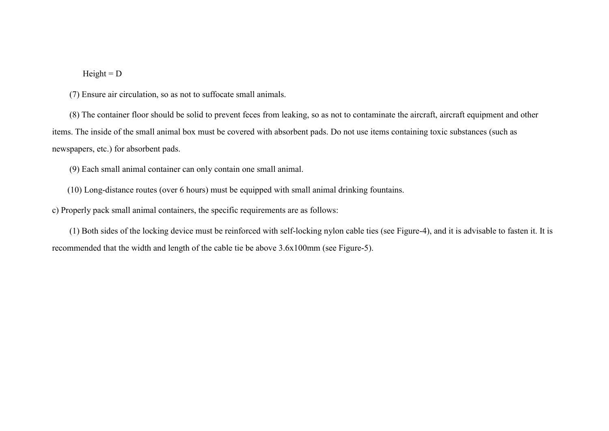#### $Height = D$

(7) Ensure air circulation, so as not to suffocate small animals.

(8) The container floor should be solid to prevent feces from leaking, so as not to contaminate the aircraft, aircraft equipment and other items. The inside of the small animal box must be covered with absorbent pads. Do not use items containing toxic substances (such as newspapers, etc.) for absorbent pads.

(9) Each small animal container can only contain one small animal.

(10) Long-distance routes (over 6 hours) must be equipped with small animal drinking fountains.

c) Properly pack small animal containers, the specific requirements are as follows:

(1) Both sides of the locking device must be reinforced with self-locking nylon cable ties (see Figure-4), and it is advisable to fasten it. It is recommended that the width and length of the cable tie be above 3.6x100mm (see Figure-5).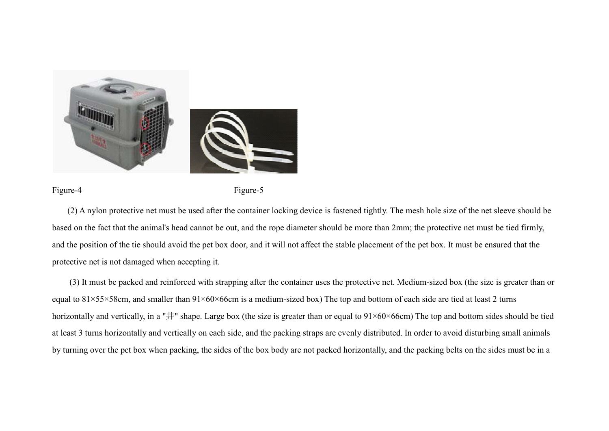

Figure-4

Figure-5

(2) A nylon protective net must be used after the container locking device is fastened tightly. The mesh hole size of the net sleeve should be based on the fact that the animal's head cannot be out, and the rope diameter should be more than 2mm; the protective net must be tied firmly, and the position of the tie should avoid the pet box door, and it will not affect the stable placement of the pet box. It must be ensured that the protective net is not damaged when accepting it. 2) A nylon protective net must be used after the container locking device is fastened tightly. The mesh hole size of the net sleeve should be<br>I on the fact that the animal's head cannot be out, and the rope diameter should

equal to  $81\times55\times58$ cm, and smaller than  $91\times60\times66$ cm is a medium-sized box) The top and bottom of each side are tied at least 2 turns horizontally and vertically, in a " $\#$ " shape. Large box (the size is greater than or equal to  $91\times60\times66$ cm) The top and bottom sides should be tied at least 3 turns horizontally and vertically on each side, and the packing straps are evenly distributed. In order to avoid disturbing small animals by turning over the pet box when packing, the sides of the box body are not packed horizontally, and the packing belts on the sides must be in a ontainer uses the protective net. Medium-sized box (the size is greater than or sized box) The top and bottom of each side are tied at least 2 turns reater than or equal to  $91\times60\times66$ cm) The top and bottom sides should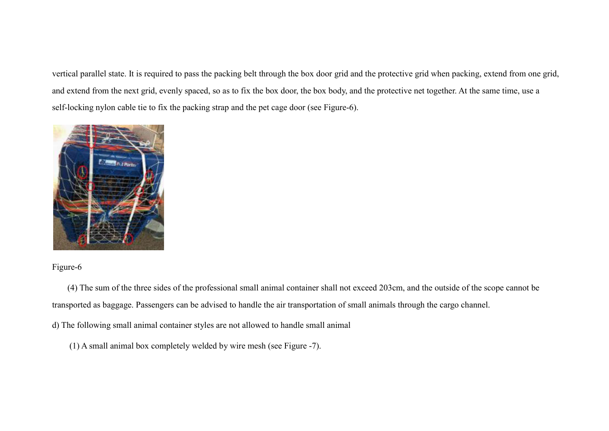vertical parallel state. It is required to pass the packing belt through the box door grid and the protective grid when packing, extend from one grid, and extend from the next grid, evenly spaced, so as to fix the box door, the box body, and the protective net together. At the same time, use a self-locking nylon cable tie to fix the packing strap and the pet cage door (see Figure-6).



## Figure-6

(4) The sum of the three sides of the professional small animal container shall not exceed 203cm, and the outside of the scope cannot be transported as baggage. Passengers can be advised to handle the air transportation of small animals through the cargo channel.

d) The following small animal container styles are not allowed to handle small animal

(1) A small animal box completely welded by wire mesh (see Figure -7).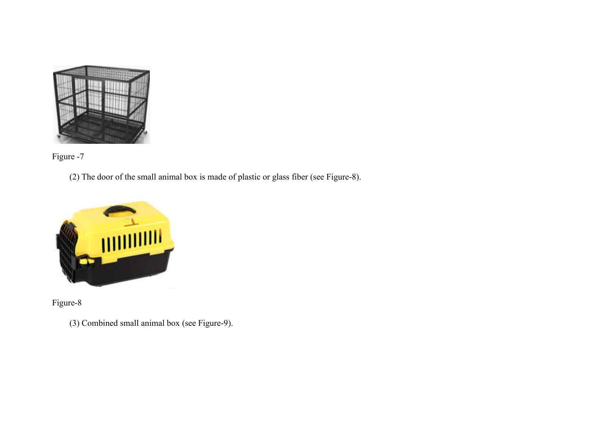



(2) The door of the small animal box is made of plastic or glass fiber (see Figure-8).



Figure-8

(3) Combined small animal box (see Figure -9).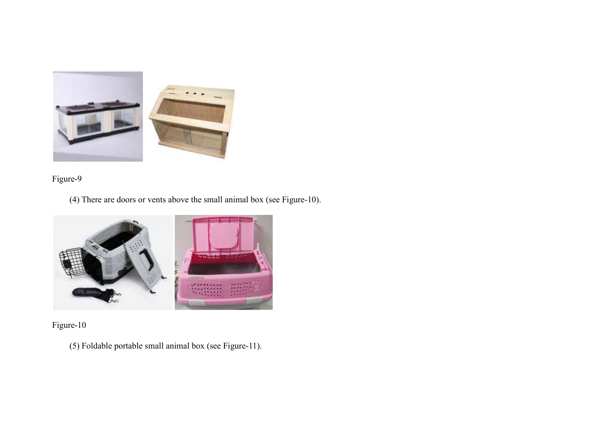

Figure-9

 $(4)$  There are doors or vents above the small animal box (see Figure-10).



Figure-10

(5) Foldable portable small animal box (see Figure Figure-11).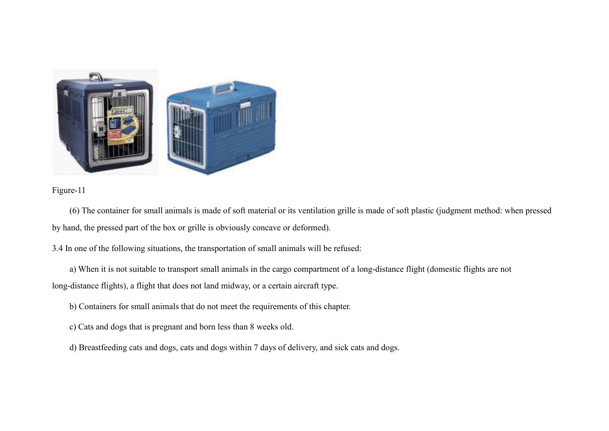

## Figure-11

(6) The container for small animals is made of soft material or its ventilation grille is made of soft plastic (judgment method: when pressed<br>and, the pressed part of the box or grille is obviously concave or deformed).<br>a) by hand, the pressed part of the box or grille is obviously concave or deformed).

3.4 In one of the following situations, the transportation of small animals will be refused:

n one of the following situations, the transportation of small animals will be refused:<br>a) When it is not suitable to transport small animals in the cargo compartment of a long-distance flight (domestic flights are not long-distance flights), a flight that does not land midway, or a certain aircraft type.

b) Containers for small animals that do not meet the requirements of this chapter.

- c) Cats and dogs that is pregnant and born less than 8 weeks old.
- d) Breastfeeding cats and dogs, cats and dogs within 7 days of delivery, and sick cats and dogs.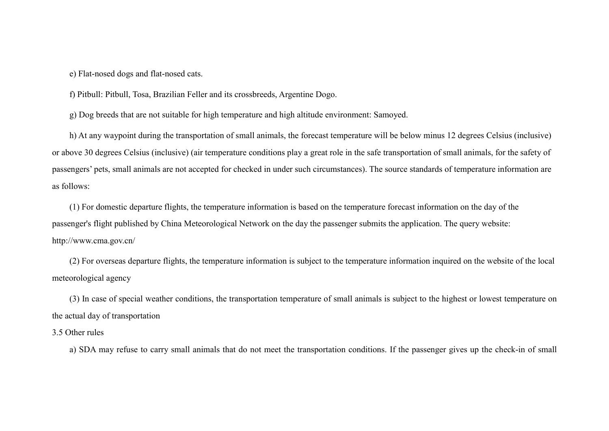e) Flat-nosed dogs and flat-nosed cats.

f) Pitbull: Pitbull, Tosa, Brazilian Feller and its crossbreeds, Argentine Dogo.

g) Dog breeds that are not suitable for high temperature and high altitude environment: Samoyed.

h) At any waypoint during the transportation of small animals, the forecast temperature will be below minus 12 degrees Celsius (inclusive) or above 30 degrees Celsius (inclusive) (air temperature conditions play a great role in the safe transportation of small animals, for the safety of passengers' pets, small animals are not accepted for checked in under such circumstances). The source standards of temperature information are as follows:

(1) For domestic departure flights, the temperature information is based on the temperature forecast information on the day of the passenger's flight published by China Meteorological Network on the day the passenger submits the application. The query website: http://www.cma.gov.cn/

(2) For overseas departure flights, the temperature information is subject to the temperature information inquired on the website of the local meteorological agency

(3) In case of special weather conditions, the transportation temperature of small animals is subject to the highest or lowest temperature on the actual day of transportation

3.5 Other rules

a) SDA may refuse to carry small animals that do not meet the transportation conditions. If the passenger gives up the check-in of small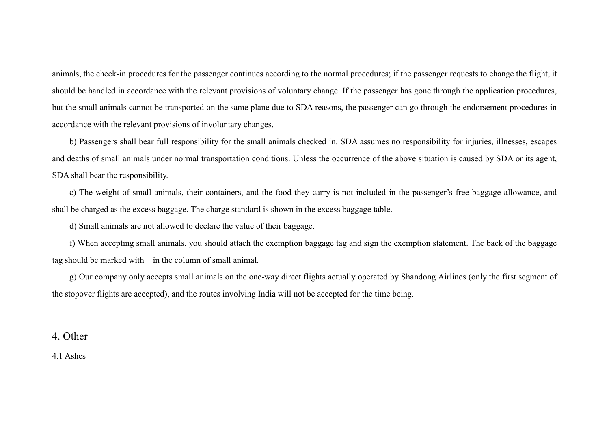animals, the check-in procedures for the passenger continues according to the normal procedures; if the passenger requests to change the flight, it should be handled in accordance with the relevant provisions of voluntary change. If the passenger has gone through the application procedures, but the small animals cannot be transported on the same plane due to SDA reasons, the passenger can go through the endorsement procedures in accordance with the relevant provisions of involuntary changes.

b) Passengers shall bear full responsibility for the small animals checked in. SDA assumes no responsibility for injuries, illnesses, escapes and deaths of small animals under normal transportation conditions. Unless the occurrence of the above situation is caused by SDA or its agent, SDA shall bear the responsibility.

c) The weight of small animals, their containers, and the food they carry is not included in the passenger's free baggage allowance, and shall be charged as the excess baggage. The charge standard is shown in the excess baggage table.

d) Small animals are not allowed to declare the value of their baggage.

f) When accepting small animals, you should attach the exemption baggage tag and sign the exemption statement. The back of the baggage tag should be marked with in the column of small animal.

g) Our company only accepts small animals on the one-way direct flights actually operated by Shandong Airlines (only the first segment of the stopover flights are accepted), and the routes involving India will not be accepted for the time being.

4. Other

4.1 Ashes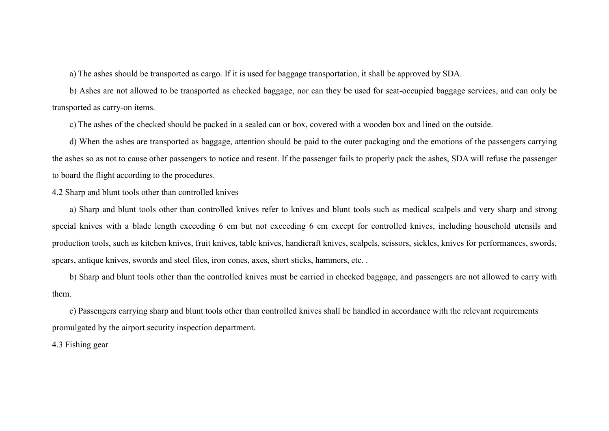a) The ashes should be transported as cargo. If it is used for baggage transportation, it shall be approved by SDA.

b) Ashes are not allowed to be transported as checked baggage, nor can they be used for seat-occupied baggage services, and can only be transported as carry-on items.

c) The ashes of the checked should be packed in a sealed can or box, covered with a wooden box and lined on the outside.

d) When the ashes are transported as baggage, attention should be paid to the outer packaging and the emotions of the passengers carrying the ashes so as not to cause other passengers to notice and resent. If the passenger fails to properly pack the ashes, SDA will refuse the passenger to board the flight according to the procedures.

4.2 Sharp and blunt tools other than controlled knives

a) Sharp and blunt tools other than controlled knives refer to knives and blunt tools such as medical scalpels and very sharp and strong special knives with a blade length exceeding 6 cm but not exceeding 6 cm except for controlled knives, including household utensils and production tools, such as kitchen knives, fruit knives, table knives, handicraft knives, scalpels, scissors, sickles, knives for performances, swords, spears, antique knives, swords and steel files, iron cones, axes, short sticks, hammers, etc. .

b) Sharp and blunt tools other than the controlled knives must be carried in checked baggage, and passengers are not allowed to carry with them.

c) Passengers carrying sharp and blunt tools other than controlled knives shall be handled in accordance with the relevant requirements promulgated by the airport security inspection department.

4.3 Fishing gear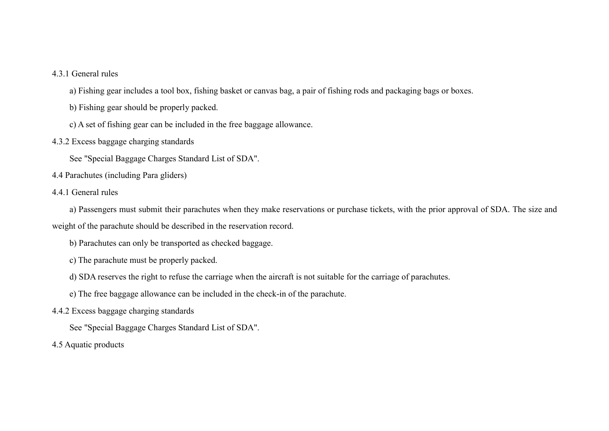## 4.3.1 General rules

a) Fishing gear includes a tool box, fishing basket or canvas bag, a pair of fishing rods and packaging bags or boxes.

b) Fishing gear should be properly packed.

- c) A set of fishing gear can be included in the free baggage allowance.
- 4.3.2 Excess baggage charging standards

See "Special Baggage Charges Standard List of SDA".

4.4 Parachutes (including Para gliders)

#### 4.4.1 General rules

a) Passengers must submit their parachutes when they make reservations or purchase tickets, with the prior approval of SDA. The size and weight of the parachute should be described in the reservation record.

- b) Parachutes can only be transported as checked baggage.
- c) The parachute must be properly packed.
- d) SDA reserves the right to refuse the carriage when the aircraft is not suitable for the carriage of parachutes.
- e) The free baggage allowance can be included in the check-in of the parachute.
- 4.4.2 Excess baggage charging standards

See "Special Baggage Charges Standard List of SDA".

4.5 Aquatic products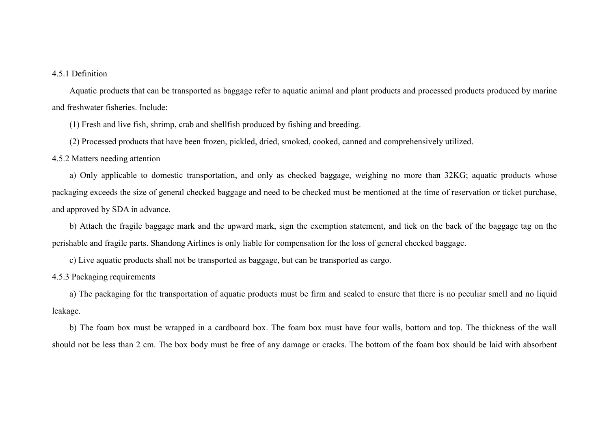#### 4.5.1 Definition

Aquatic products that can be transported as baggage refer to aquatic animal and plant products and processed products produced by marine and freshwater fisheries. Include:

(1) Fresh and live fish, shrimp, crab and shellfish produced by fishing and breeding.

(2) Processed products that have been frozen, pickled, dried, smoked, cooked, canned and comprehensively utilized.

#### 4.5.2 Matters needing attention

a) Only applicable to domestic transportation, and only as checked baggage, weighing no more than 32KG; aquatic products whose packaging exceeds the size of general checked baggage and need to be checked must be mentioned at the time of reservation or ticket purchase, and approved by SDA in advance.

b) Attach the fragile baggage mark and the upward mark, sign the exemption statement, and tick on the back of the baggage tag on the perishable and fragile parts. Shandong Airlines is only liable for compensation for the loss of general checked baggage.

c) Live aquatic products shall not be transported as baggage, but can be transported as cargo.

4.5.3 Packaging requirements

a) The packaging for the transportation of aquatic products must be firm and sealed to ensure that there is no peculiar smell and no liquid leakage.

b) The foam box must be wrapped in a cardboard box. The foam box must have four walls, bottom and top. The thickness of the wall should not be less than 2 cm. The box body must be free of any damage or cracks. The bottom of the foam box should be laid with absorbent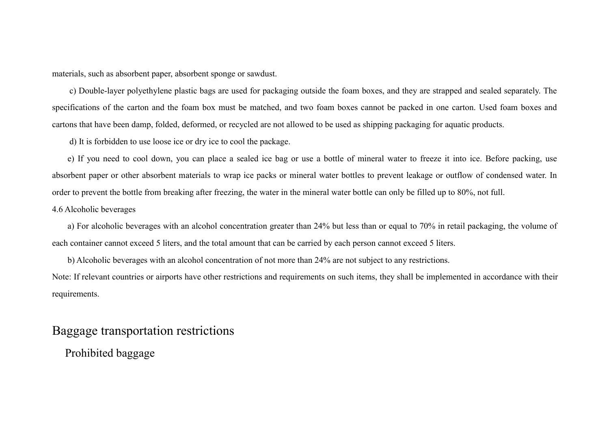materials, such as absorbent paper, absorbent sponge or sawdust.

c) Double-layer polyethylene plastic bags are used for packaging outside the foam boxes, and they are strapped and sealed separately. The specifications of the carton and the foam box must be matched, and two foam boxes cannot be packed in one carton. Used foam boxes and cartons that have been damp, folded, deformed, or recycled are not allowed to be used as shipping packaging for aquatic products.

d) It is forbidden to use loose ice or dry ice to cool the package.

e) If you need to cool down, you can place a sealed ice bag or use a bottle of mineral water to freeze it into ice. Before packing, use absorbent paper or other absorbent materials to wrap ice packs or mineral water bottles to prevent leakage or outflow of condensed water. In order to prevent the bottle from breaking after freezing, the water in the mineral water bottle can only be filled up to 80%, not full.

### 4.6 Alcoholic beverages

a) For alcoholic beverages with an alcohol concentration greater than 24% but less than or equal to 70% in retail packaging, the volume of each container cannot exceed 5 liters, and the total amount that can be carried by each person cannot exceed 5 liters.

b) Alcoholic beverages with an alcohol concentration of not more than 24% are not subject to any restrictions.

Note: If relevant countries or airports have other restrictions and requirements on such items, they shall be implemented in accordance with their requirements.

# Baggage transportation restrictions

Prohibited baggage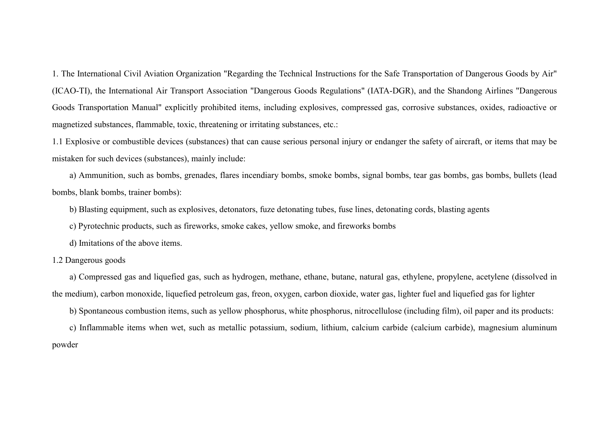1. The International Civil Aviation Organization "Regarding the Technical Instructions for the Safe Transportation of Dangerous Goods by Air" (ICAO-TI), the International Air Transport Association "Dangerous Goods Regulations" (IATA-DGR), and the Shandong Airlines "Dangerous Goods Transportation Manual" explicitly prohibited items, including explosives, compressed gas, corrosive substances, oxides, radioactive or magnetized substances, flammable, toxic, threatening or irritating substances, etc.:

1.1 Explosive or combustible devices (substances) that can cause serious personal injury or endanger the safety of aircraft, or items that may be mistaken for such devices (substances), mainly include:

a) Ammunition, such as bombs, grenades, flares incendiary bombs, smoke bombs, signal bombs, tear gas bombs, gas bombs, bullets (lead bombs, blank bombs, trainer bombs):

b) Blasting equipment, such as explosives, detonators, fuze detonating tubes, fuse lines, detonating cords, blasting agents

c) Pyrotechnic products, such as fireworks, smoke cakes, yellow smoke, and fireworks bombs

d) Imitations of the above items.

1.2 Dangerous goods

a) Compressed gas and liquefied gas, such as hydrogen, methane, ethane, butane, natural gas, ethylene, propylene, acetylene (dissolved in the medium), carbon monoxide, liquefied petroleum gas, freon, oxygen, carbon dioxide, water gas, lighter fuel and liquefied gas for lighter

b) Spontaneous combustion items, such as yellow phosphorus, white phosphorus, nitrocellulose (including film), oil paper and its products:

c) Inflammable items when wet, such as metallic potassium, sodium, lithium, calcium carbide (calcium carbide), magnesium aluminum powder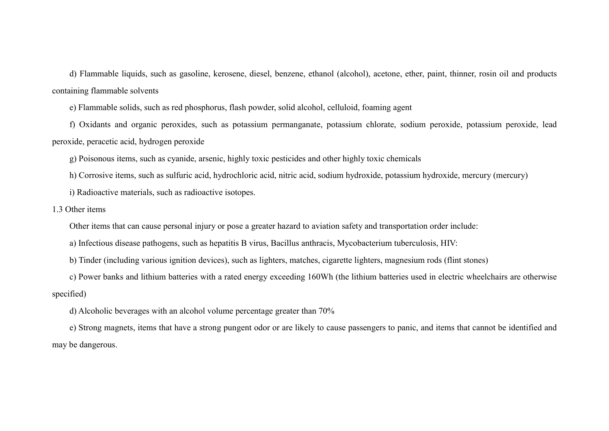d) Flammable liquids, such as gasoline, kerosene, diesel, benzene, ethanol (alcohol), acetone, ether, paint, thinner, rosin oil and products containing flammable solvents

e) Flammable solids, such as red phosphorus, flash powder, solid alcohol, celluloid, foaming agent

f) Oxidants and organic peroxides, such as potassium permanganate, potassium chlorate, sodium peroxide, potassium peroxide, lead peroxide, peracetic acid, hydrogen peroxide

g) Poisonous items, such as cyanide, arsenic, highly toxic pesticides and other highly toxic chemicals

h) Corrosive items, such as sulfuric acid, hydrochloric acid, nitric acid, sodium hydroxide, potassium hydroxide, mercury (mercury)

i) Radioactive materials, such as radioactive isotopes.

1.3 Other items

Other items that can cause personal injury or pose a greater hazard to aviation safety and transportation order include:

a) Infectious disease pathogens, such as hepatitis B virus, Bacillus anthracis, Mycobacterium tuberculosis, HIV:

b) Tinder (including various ignition devices), such as lighters, matches, cigarette lighters, magnesium rods (flint stones)

c) Power banks and lithium batteries with a rated energy exceeding 160Wh (the lithium batteries used in electric wheelchairs are otherwise specified)

d) Alcoholic beverages with an alcohol volume percentage greater than 70%

e) Strong magnets, items that have a strong pungent odor or are likely to cause passengers to panic, and items that cannot be identified and may be dangerous.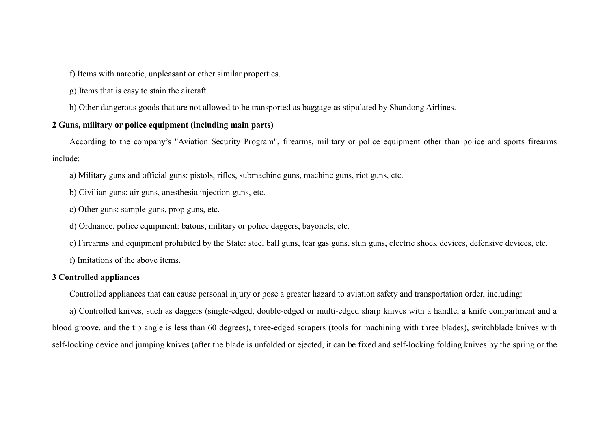f) Items with narcotic, unpleasant or other similar properties.

g) Items that is easy to stain the aircraft.

h) Other dangerous goods that are not allowed to be transported as baggage as stipulated by Shandong Airlines.

## **2 Guns, military or police equipment (including main parts)**

According to the company's "Aviation Security Program", firearms, military or police equipment other than police and sports firearms include:

a) Military guns and official guns: pistols, rifles, submachine guns, machine guns, riot guns, etc.

b) Civilian guns: air guns, anesthesia injection guns, etc.

c) Other guns: sample guns, prop guns, etc.

d) Ordnance, police equipment: batons, military or police daggers, bayonets, etc.

e) Firearms and equipment prohibited by the State: steel ball guns, tear gas guns, stun guns, electric shock devices, defensive devices, etc.

f) Imitations of the above items.

#### **3 Controlled appliances**

Controlled appliances that can cause personal injury or pose a greater hazard to aviation safety and transportation order, including:

a) Controlled knives, such as daggers (single-edged, double-edged or multi-edged sharp knives with a handle, a knife compartment and a blood groove, and the tip angle is less than 60 degrees), three-edged scrapers (tools for machining with three blades), switchblade knives with self-locking device and jumping knives (after the blade is unfolded or ejected, it can be fixed and self-locking folding knives by the spring or the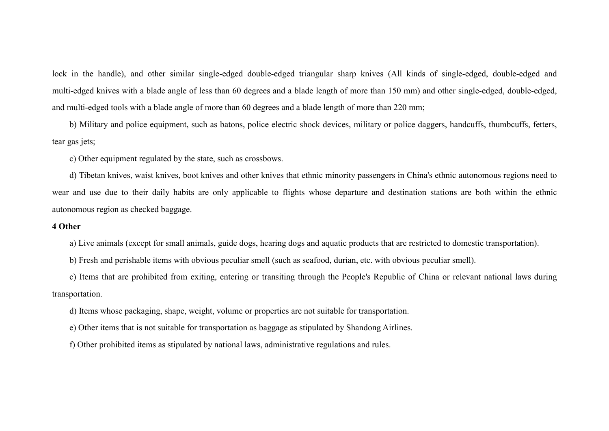lock in the handle), and other similar single-edged double-edged triangular sharp knives (All kinds of single-edged, double-edged and multi-edged knives with a blade angle of less than 60 degrees and a blade length of more than 150 mm) and other single-edged, double-edged, and multi-edged tools with a blade angle of more than 60 degrees and a blade length of more than 220 mm;

b) Military and police equipment, such as batons, police electric shock devices, military or police daggers, handcuffs, thumbcuffs, fetters, tear gas jets;

c) Other equipment regulated by the state, such as crossbows.

d) Tibetan knives, waist knives, boot knives and other knives that ethnic minority passengers in China's ethnic autonomous regions need to wear and use due to their daily habits are only applicable to flights whose departure and destination stations are both within the ethnic autonomous region as checked baggage.

#### **4 Other**

a) Live animals (except for small animals, guide dogs, hearing dogs and aquatic products that are restricted to domestic transportation).

b) Fresh and perishable items with obvious peculiar smell (such as seafood, durian, etc. with obvious peculiar smell).

c) Items that are prohibited from exiting, entering or transiting through the People's Republic of China or relevant national laws during transportation.

d) Items whose packaging, shape, weight, volume or properties are not suitable for transportation.

e) Other items that is not suitable for transportation as baggage as stipulated by Shandong Airlines.

f) Other prohibited items as stipulated by national laws, administrative regulations and rules.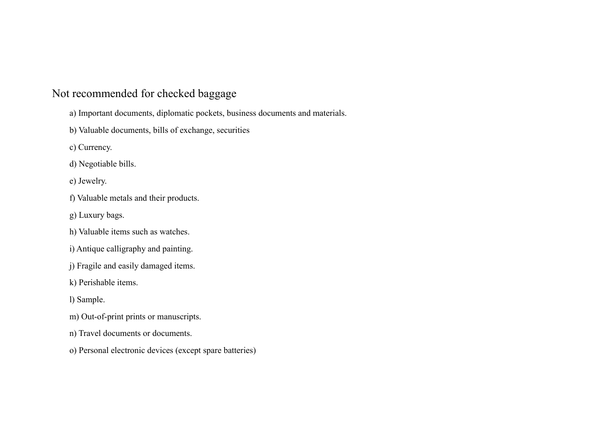# Not recommended for checked baggage

- a) Important documents, diplomatic pockets, business documents and materials.
- b) Valuable documents, bills of exchange, securities
- c) Currency.
- d) Negotiable bills.
- e) Jewelry.
- f) Valuable metals and their products.
- g) Luxury bags.
- h) Valuable items such as watches.
- i) Antique calligraphy and painting.
- j) Fragile and easily damaged items.
- k) Perishable items.
- l) Sample.
- m) Out-of-print prints or manuscripts.
- n) Travel documents or documents.
- o) Personal electronic devices (except spare batteries)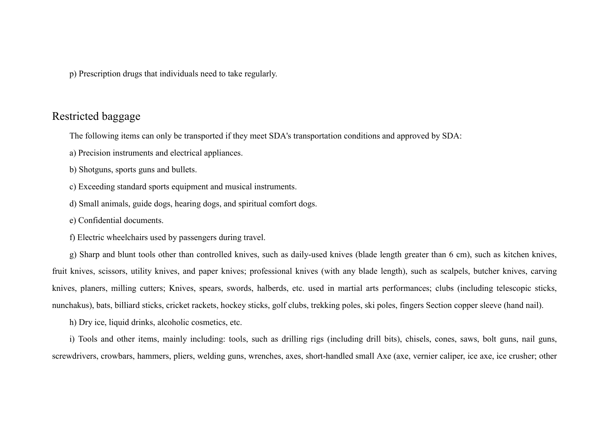p) Prescription drugs that individuals need to take regularly.

# Restricted baggage

The following items can only be transported if they meet SDA's transportation conditions and approved by SDA:

- a) Precision instruments and electrical appliances.
- b) Shotguns, sports guns and bullets.
- c) Exceeding standard sports equipment and musical instruments.
- d) Small animals, guide dogs, hearing dogs, and spiritual comfort dogs.
- e) Confidential documents.
- f) Electric wheelchairs used by passengers during travel.

g) Sharp and blunt tools other than controlled knives, such as daily-used knives (blade length greater than 6 cm), such as kitchen knives, fruit knives, scissors, utility knives, and paper knives; professional knives (with any blade length), such as scalpels, butcher knives, carving knives, planers, milling cutters; Knives, spears, swords, halberds, etc. used in martial arts performances; clubs (including telescopic sticks, nunchakus), bats, billiard sticks, cricket rackets, hockey sticks, golf clubs, trekking poles, ski poles, fingers Section copper sleeve (hand nail).

h) Dry ice, liquid drinks, alcoholic cosmetics, etc.

i) Tools and other items, mainly including: tools, such as drilling rigs (including drill bits), chisels, cones, saws, bolt guns, nail guns, screwdrivers, crowbars, hammers, pliers, welding guns, wrenches, axes, short-handled small Axe (axe, vernier caliper, ice axe, ice crusher; other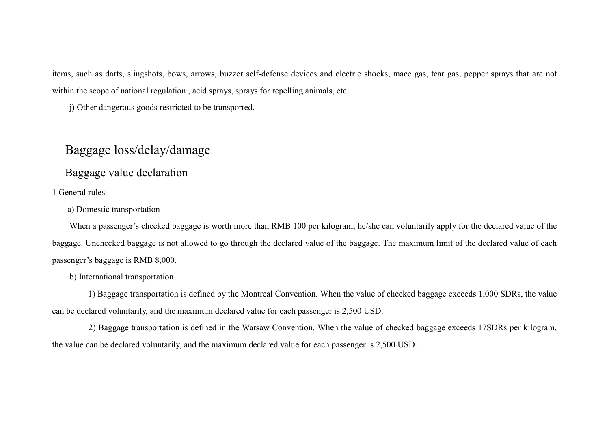items, such as darts, slingshots, bows, arrows, buzzer self-defense devices and electric shocks, mace gas, tear gas, pepper sprays that are not within the scope of national regulation , acid sprays, sprays for repelling animals, etc.

j) Other dangerous goods restricted to be transported.

# Baggage loss/delay/damage

Baggage value declaration

## 1 General rules

a) Domestic transportation

When a passenger's checked baggage is worth more than RMB 100 per kilogram, he/she can voluntarily apply for the declared value of the baggage. Unchecked baggage is not allowed to go through the declared value of the baggage. The maximum limit of the declared value of each passenger's baggage is RMB 8,000.

#### b) International transportation

1) Baggage transportation is defined by the Montreal Convention. When the value of checked baggage exceeds 1,000 SDRs, the value can be declared voluntarily, and the maximum declared value for each passenger is 2,500 USD.

2) Baggage transportation is defined in the Warsaw Convention. When the value of checked baggage exceeds 17SDRs per kilogram, the value can be declared voluntarily, and the maximum declared value for each passenger is 2,500 USD.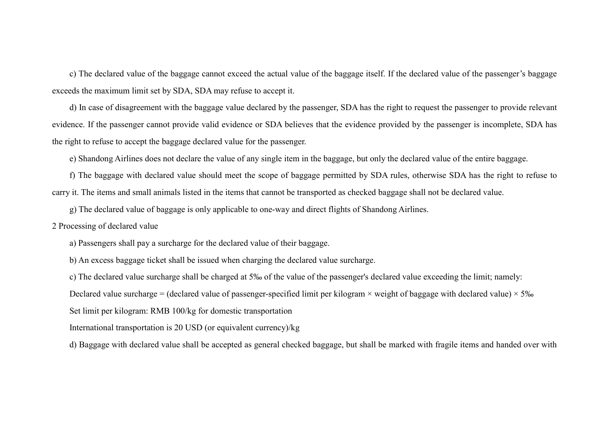c) The declared value of the baggage cannot exceed the actual value of the baggage itself. If the declared value of the passenger's baggage exceeds the maximum limit set by SDA, SDA may refuse to accept it.

d) In case of disagreement with the baggage value declared by the passenger, SDA has the right to request the passenger to provide relevant evidence. If the passenger cannot provide valid evidence or SDA believes that the evidence provided by the passenger is incomplete, SDA has the right to refuse to accept the baggage declared value for the passenger.

e) Shandong Airlines does not declare the value of any single item in the baggage, but only the declared value of the entire baggage.

f) The baggage with declared value should meet the scope of baggage permitted by SDA rules, otherwise SDA has the right to refuse to carry it. The items and small animals listed in the items that cannot be transported as checked baggage shall not be declared value.

g) The declared value of baggage is only applicable to one-way and direct flights of Shandong Airlines.

2 Processing of declared value

a) Passengers shall pay a surcharge for the declared value of their baggage.

b) An excess baggage ticket shall be issued when charging the declared value surcharge.

c) The declared value surcharge shall be charged at 5‰ of the value of the passenger's declared value exceeding the limit; namely:

Declared value surcharge = (declared value of passenger-specified limit per kilogram  $\times$  weight of baggage with declared value)  $\times$  5‰

Set limit per kilogram: RMB 100/kg for domestic transportation

International transportation is 20 USD (or equivalent currency)/kg

d) Baggage with declared value shall be accepted as general checked baggage, but shall be marked with fragile items and handed over with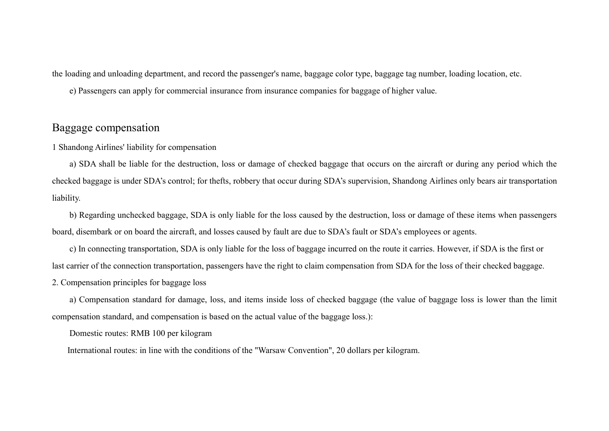the loading and unloading department, and record the passenger's name, baggage color type, baggage tag number, loading location, etc.

e) Passengers can apply for commercial insurance from insurance companies for baggage of higher value.

# Baggage compensation

1 Shandong Airlines' liability for compensation

a) SDA shall be liable for the destruction, loss or damage of checked baggage that occurs on the aircraft or during any period which the checked baggage is under SDA's control; for thefts, robbery that occur during SDA's supervision, Shandong Airlines only bears air transportation liability.

b) Regarding unchecked baggage, SDA is only liable for the loss caused by the destruction, loss or damage of these items when passengers board, disembark or on board the aircraft, and losses caused by fault are due to SDA's fault or SDA's employees or agents.

c) In connecting transportation, SDA is only liable for the loss of baggage incurred on the route it carries. However, if SDA is the first or last carrier of the connection transportation, passengers have the right to claim compensation from SDA for the loss of their checked baggage. 2. Compensation principles for baggage loss

a) Compensation standard for damage, loss, and items inside loss of checked baggage (the value of baggage loss is lower than the limit compensation standard, and compensation is based on the actual value of the baggage loss.):

Domestic routes: RMB 100 per kilogram

International routes: in line with the conditions of the "Warsaw Convention", 20 dollars per kilogram.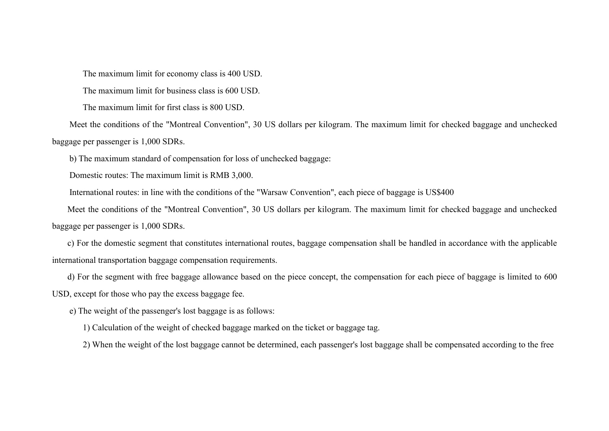The maximum limit for economy class is 400 USD.

The maximum limit for business class is 600 USD.

The maximum limit for first class is 800 USD.

Meet the conditions of the "Montreal Convention", 30 US dollars per kilogram. The maximum limit for checked baggage and unchecked baggage per passenger is 1,000 SDRs.

b) The maximum standard of compensation for loss of unchecked baggage:

Domestic routes: The maximum limit is RMB 3,000.

International routes: in line with the conditions of the "Warsaw Convention", each piece of baggage is US\$400

Meet the conditions of the "Montreal Convention", 30 US dollars per kilogram. The maximum limit for checked baggage and unchecked baggage per passenger is 1,000 SDRs.

c) For the domestic segment that constitutes international routes, baggage compensation shall be handled in accordance with the applicable international transportation baggage compensation requirements.

d) For the segment with free baggage allowance based on the piece concept, the compensation for each piece of baggage is limited to 600 USD, except for those who pay the excess baggage fee.

e) The weight of the passenger's lost baggage is as follows:

1) Calculation of the weight of checked baggage marked on the ticket or baggage tag.

2) When the weight of the lost baggage cannot be determined, each passenger's lost baggage shall be compensated according to the free